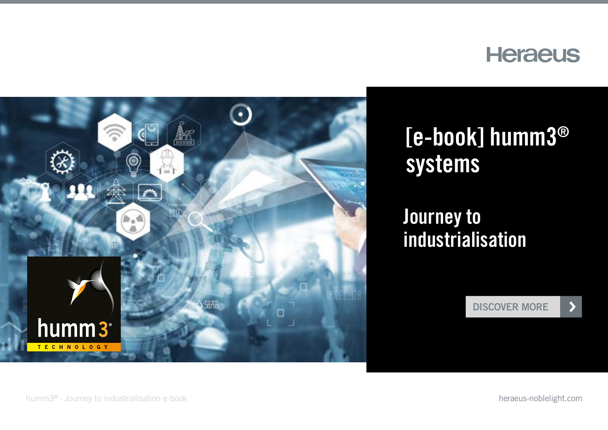



# [e-book] humm3® systems

#### Journey to industrialisation

[DISCOVER MORE](#page-1-0)

 $\blacktriangleright$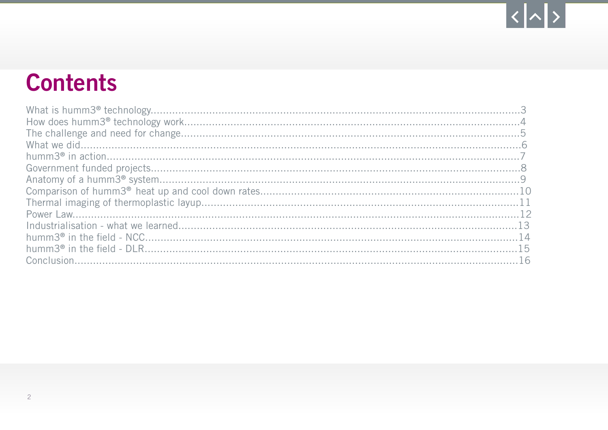# $|\langle |\!| \rangle$

# <span id="page-1-0"></span>**Contents**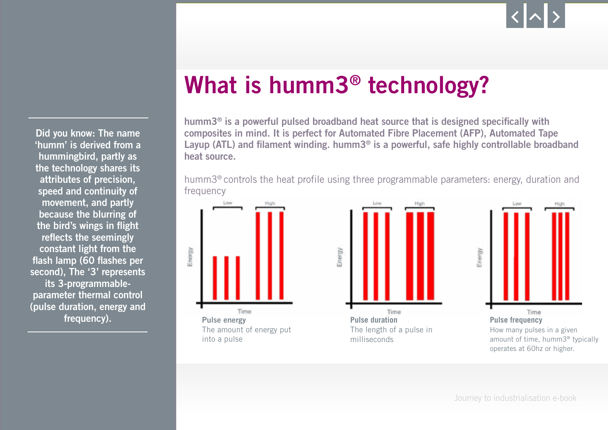<span id="page-2-0"></span>Did you know: The name 'humm' is derived from a hummingbird, partly as the technology shares its attributes of precision, speed and continuity of movement, and partly because the blurring of the bird's wings in flight reflects the seemingly constant light from the flash lamp (60 flashes per second), The '3' represents its 3-programmableparameter thermal control (pulse duration, energy and frequency).

# What is humm3® technology?

humm3® is a powerful pulsed broadband heat source that is designed specifically with composites in mind. It is perfect for Automated Fibre Placement (AFP), Automated Tape Layup (ATL) and filament winding. humm3<sup>®</sup> is a powerful, safe highly controllable broadband heat source.

humm3® controls the heat profile using three programmable parameters: energy, duration and frequency

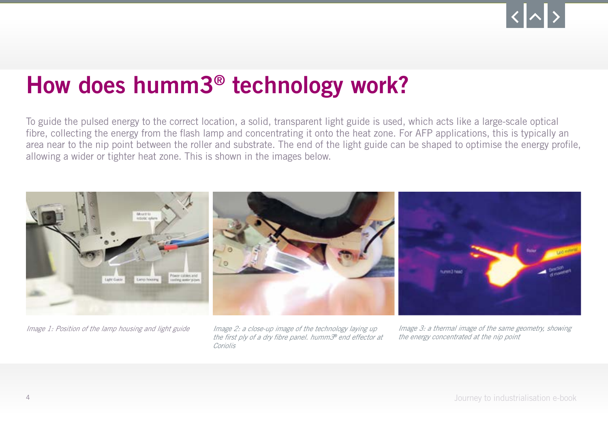# <span id="page-3-0"></span>How does humm3® technology work?

To guide the pulsed energy to the correct location, a solid, transparent light guide is used, which acts like a large-scale optical fibre, collecting the energy from the flash lamp and concentrating it onto the heat zone. For AFP applications, this is typically an area near to the nip point between the roller and substrate. The end of the light guide can be shaped to optimise the energy profile, allowing a wider or tighter heat zone. This is shown in the images below.



*Image 1: Position of the lamp housing and light guide Image 2: a close-up image of the technology laying up the first ply of a dry fibre panel. humm3*® *end effector at Coriolis*

*Image 3: a thermal image of the same geometry, showing the energy concentrated at the nip point*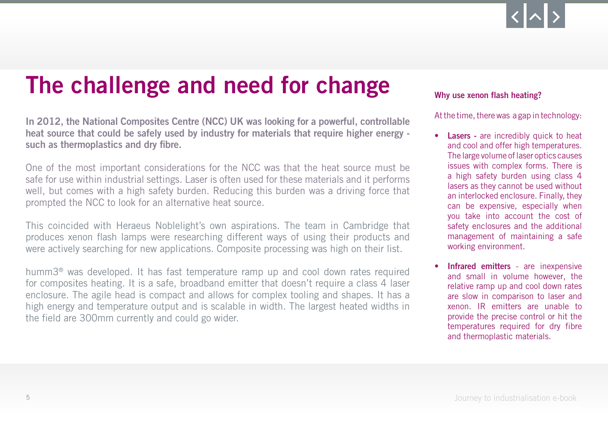# <span id="page-4-0"></span>The challenge and need for change

In 2012, the National Composites Centre (NCC) UK was looking for a powerful, controllable heat source that could be safely used by industry for materials that require higher energy such as thermoplastics and dry fibre.

One of the most important considerations for the NCC was that the heat source must be safe for use within industrial settings. Laser is often used for these materials and it performs well, but comes with a high safety burden. Reducing this burden was a driving force that prompted the NCC to look for an alternative heat source.

This coincided with Heraeus Noblelight's own aspirations. The team in Cambridge that produces xenon flash lamps were researching different ways of using their products and were actively searching for new applications. Composite processing was high on their list.

humm3® was developed. It has fast temperature ramp up and cool down rates required for composites heating. It is a safe, broadband emitter that doesn't require a class 4 laser enclosure. The agile head is compact and allows for complex tooling and shapes. It has a high energy and temperature output and is scalable in width. The largest heated widths in the field are 300mm currently and could go wider.

#### Why use xenon flash heating?

At the time, there was a gap in technology:

- Lasers are incredibly quick to heat and cool and offer high temperatures. The large volume of laser optics causes issues with complex forms. There is a high safety burden using class 4 lasers as they cannot be used without an interlocked enclosure. Finally, they can be expensive, especially when you take into account the cost of safety enclosures and the additional management of maintaining a safe working environment.
- Infrared emitters are inexpensive and small in volume however, the relative ramp up and cool down rates are slow in comparison to laser and xenon. IR emitters are unable to provide the precise control or hit the temperatures required for dry fibre and thermoplastic materials.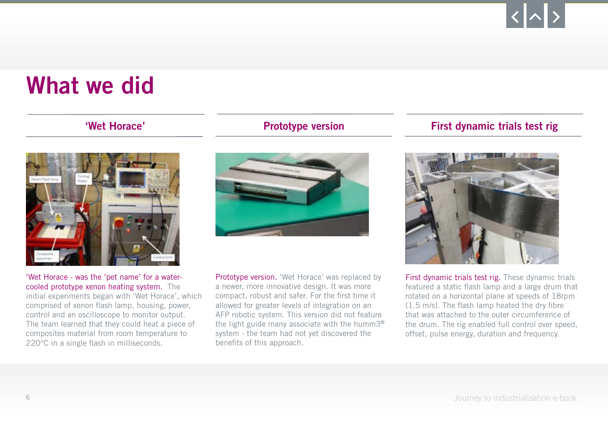### <span id="page-5-0"></span>What we did

#### 'Wet Horace'



'Wet Horace - was the 'pet name' for a watercooled prototype xenon heating system. The initial experiments began with 'Wet Horace', which comprised of xenon flash lamp, housing, power, control and an oscilloscope to monitor output. The team learned that they could heat a piece of composites material from room temperature to 220°C in a single flash in milliseconds.



Prototype version. 'Wet Horace' was replaced by a newer, more innovative design. It was more compact, robust and safer. For the first time it allowed for greater levels of integration on an AFP robotic system. This version did not feature the light guide many associate with the humm3® system - the team had not yet discovered the benefits of this approach.

#### Prototype version First dynamic trials test right



First dynamic trials test rig. These dynamic trials featured a static flash lamp and a large drum that rotated on a horizontal plane at speeds of 18rpm (1.5 m/s). The flash lamp heated the dry fibre that was attached to the outer circumference of the drum. The rig enabled full control over speed, offset, pulse energy, duration and frequency.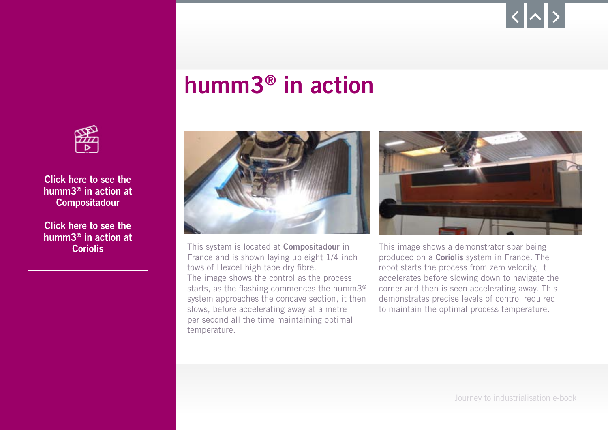# humm3® in action

<span id="page-6-0"></span>

[Click here to see the](https://www.heraeus.com/media/media/hng/media_hng/inxmail_deploypage/inxmail_deploypage_1/humm3_demonstrator_panel.mp4?utm_medium=display&utm_source=brochure&utm_campaign=HNGhumm3_ebook&utm_content=humm3_ebook)  humm3® in action at **Compositadour** 

[Click here to see the](https://www.heraeus.com/media/media/hng/media_hng/inxmail_deploypage/inxmail_deploypage_1/humm3_demonstrator_spar.mp4?utm_medium=display&utm_source=brochure&utm_campaign=HNGhumm3_ebook&utm_content=humm3_ebook)  humm3® in action at



Coriolis **Coriolis** This system is located at Compositadour in France and is shown laying up eight 1/4 inch tows of Hexcel high tape dry fibre. The image shows the control as the process starts, as the flashing commences the humm3® system approaches the concave section, it then slows, before accelerating away at a metre per second all the time maintaining optimal temperature.



This image shows a demonstrator spar being produced on a **Coriolis** system in France. The robot starts the process from zero velocity, it accelerates before slowing down to navigate the corner and then is seen accelerating away. This demonstrates precise levels of control required to maintain the optimal process temperature.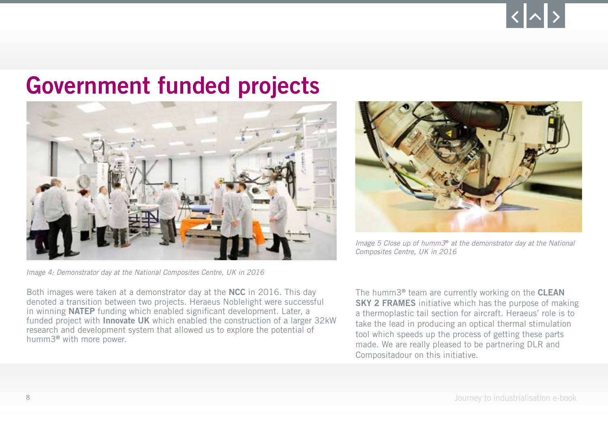### <span id="page-7-0"></span>Government funded projects





*Image 5 Close up of humm3*® *at the demonstrator day at the National Composites Centre, UK in 2016*

*Image 4: Demonstrator day at the National Composites Centre, UK in 2016*

Both images were taken at a demonstrator day at the NCC in 2016. This day denoted a transition between two projects. Heraeus Noblelight were successful in winning NATEP funding which enabled significant development. Later, a funded project with Innovate UK which enabled the construction of a larger 32kW research and development system that allowed us to explore the potential of humm3® with more power.

The humm3<sup>®</sup> team are currently working on the **CLEAN** SKY 2 FRAMES initiative which has the purpose of making a thermoplastic tail section for aircraft. Heraeus' role is to take the lead in producing an optical thermal stimulation tool which speeds up the process of getting these parts made. We are really pleased to be partnering DLR and Compositadour on this initiative.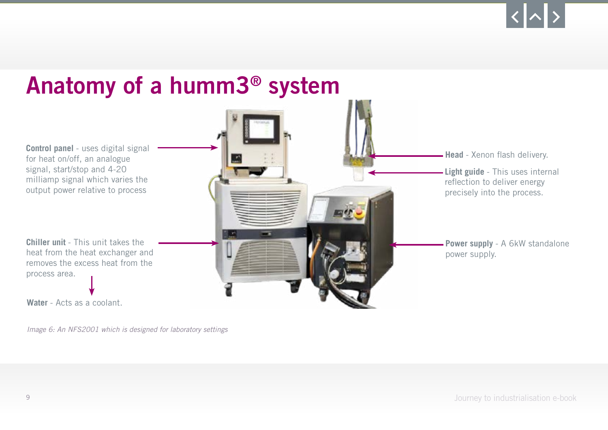#### <span id="page-8-0"></span>Anatomy of a humm3® system **Head** - Xenon flash delivery. **Light guide** - This uses internal reflection to deliver energy precisely into the process. **Power supply** - A 6kW standalone power supply. **Control panel** - uses digital signal for heat on/off, an analogue signal, start/stop and 4-20 milliamp signal which varies the output power relative to process **Chiller unit** - This unit takes the heat from the heat exchanger and removes the excess heat from the process area. **Water** - Acts as a coolant.

*Image 6: An NFS2001 which is designed for laboratory settings*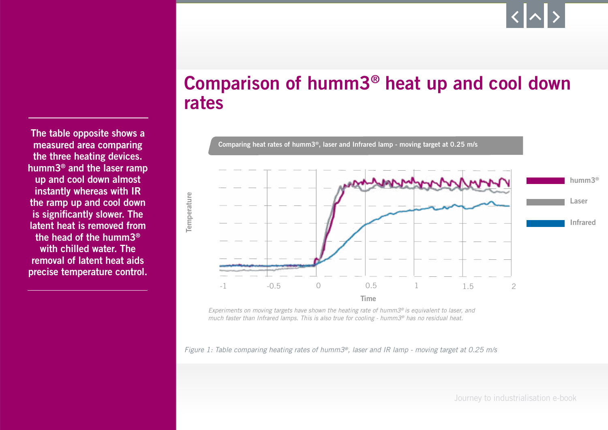Comparison of humm3® heat up and cool down rates



*Experiments on moving targets have shown the heating rate of humm3® is equivalent to laser, and much faster than Infrared lamps. This is also true for cooling - humm3® has no residual heat.*

*Figure 1: Table comparing heating rates of humm3®, laser and IR lamp - moving target at 0.25 m/s*

<span id="page-9-0"></span>The table opposite shows a measured area comparing the three heating devices. humm3® and the laser ramp up and cool down almost instantly whereas with IR the ramp up and cool down is significantly slower. The latent heat is removed from the head of the humm3® with chilled water. The removal of latent heat aids precise temperature control.

10 Journey to industrialisation e-book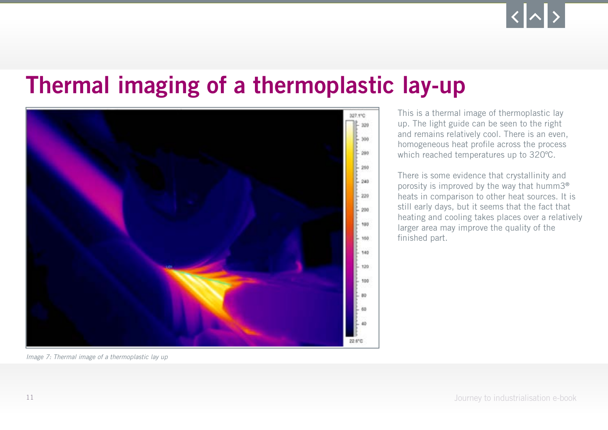## <span id="page-10-0"></span>Thermal imaging of a thermoplastic lay-up



This is a thermal image of thermoplastic lay up. The light guide can be seen to the right and remains relatively cool. There is an even, homogeneous heat profile across the process which reached temperatures up to 320°C.

There is some evidence that crystallinity and porosity is improved by the way that humm3® heats in comparison to other heat sources. It is still early days, but it seems that the fact that heating and cooling takes places over a relatively larger area may improve the quality of the finished part.

*Image 7: Thermal image of a thermoplastic lay up*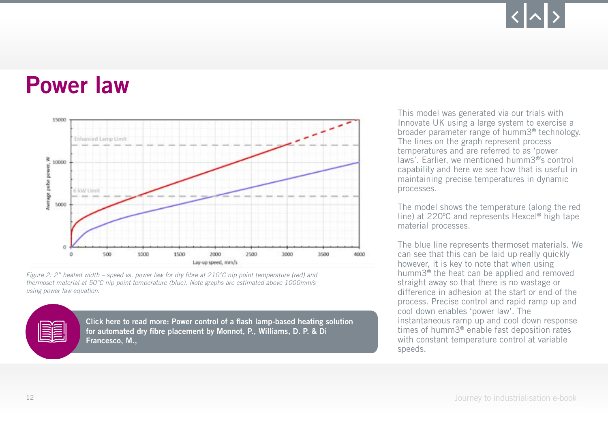### <span id="page-11-0"></span>Power law



*Figure 2: 2" heated width – speed vs. power law for dry fibre at 210°C nip point temperature (red) and thermoset material at 50°C nip point temperature (blue). Note graphs are estimated above 1000mm/s using power law equation.*

[Click here to read more: Power control of a flash lamp-based heating solution](https://az659834.vo.msecnd.net/eventsairwesteuprod/production-pcoconvin-public/e41692322a1f4e2e9ef92d44588ce495)  for automated dry fibre placement by Monnot, P., Williams, D. P. & Di Francesco, M.,

This model was generated via our trials with Innovate UK using a large system to exercise a broader parameter range of humm3® technology. The lines on the graph represent process temperatures and are referred to as 'power laws'. Earlier, we mentioned humm3®'s control capability and here we see how that is useful in maintaining precise temperatures in dynamic processes.

The model shows the temperature (along the red line) at 220°C and represents Hexcel® high tape material processes.

The blue line represents thermoset materials. We can see that this can be laid up really quickly however, it is key to note that when using humm3® the heat can be applied and removed straight away so that there is no wastage or difference in adhesion at the start or end of the process. Precise control and rapid ramp up and cool down enables 'power law'. The instantaneous ramp up and cool down response times of humm3® enable fast deposition rates with constant temperature control at variable speeds.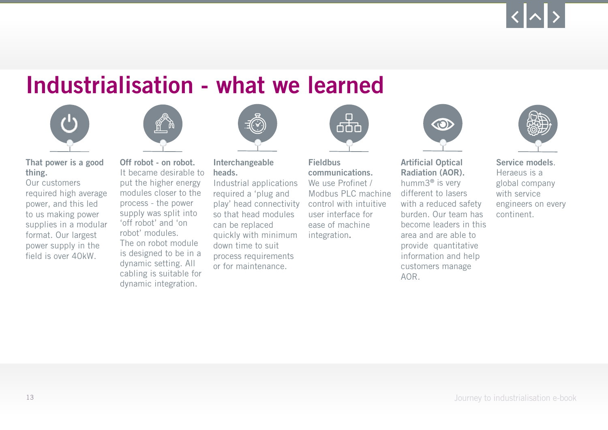### <span id="page-12-0"></span>Industrialisation - what we learned





That power is a good thing.

Our customers required high average power, and this led to us making power supplies in a modular format. Our largest power supply in the field is over 40kW.

Off robot - on robot. It became desirable to put the higher energy modules closer to the process - the power supply was split into 'off robot' and 'on robot' modules. The on robot module is designed to be in a dynamic setting. All cabling is suitable for dynamic integration.



Interchangeable heads.

Industrial applications required a 'plug and play' head connectivity so that head modules can be replaced quickly with minimum down time to suit process requirements or for maintenance.



Fieldbus communications. We use Profinet / Modbus PLC machine control with intuitive user interface for ease of machine integration.



Artificial Optical Radiation (AOR). humm3® is very different to lasers with a reduced safety burden. Our team has become leaders in this area and are able to provide quantitative information and help customers manage AOR.



Service models. Heraeus is a global company with service engineers on every continent.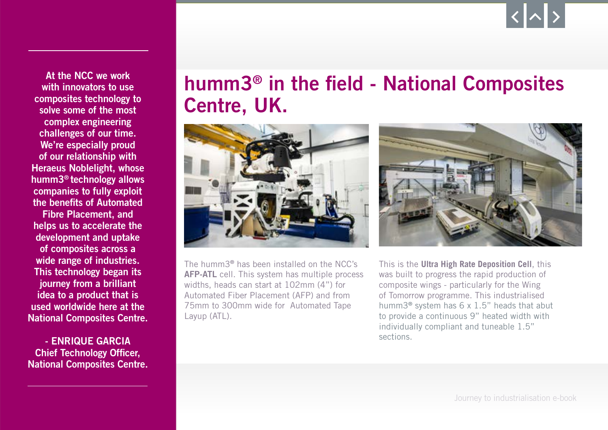<span id="page-13-0"></span>At the NCC we work with innovators to use composites technology to solve some of the most complex engineering challenges of our time. We're especially proud of our relationship with Heraeus Noblelight, whose humm3® technology allows companies to fully exploit the benefits of Automated

Fibre Placement, and helps us to accelerate the development and uptake of composites across a wide range of industries. This technology began its journey from a brilliant idea to a product that is used worldwide here at the National Composites Centre.

- ENRIQUE GARCIA Chief Technology Officer, National Composites Centre.

#### humm3® in the field - National Composites Centre, UK.



The humm3® has been installed on the NCC's AFP-ATL cell. This system has multiple process widths, heads can start at 102mm (4") for Automated Fiber Placement (AFP) and from 75mm to 300mm wide for Automated Tape Layup (ATL).

This is the **Ultra High Rate Deposition Cell**, this was built to progress the rapid production of composite wings - particularly for the Wing of Tomorrow programme. This industrialised humm3® system has 6 x 1.5" heads that abut to provide a continuous 9" heated width with individually compliant and tuneable 1.5" sections.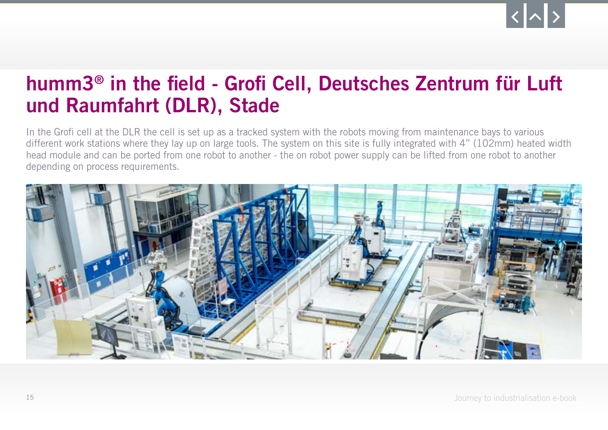#### <span id="page-14-0"></span>humm3® in the field - Grofi Cell, Deutsches Zentrum für Luft und Raumfahrt (DLR), Stade

In the Grofi cell at the DLR the cell is set up as a tracked system with the robots moving from maintenance bays to various different work stations where they lay up on large tools. The system on this site is fully integrated with 4" (102mm) heated width head module and can be ported from one robot to another - the on robot power supply can be lifted from one robot to another depending on process requirements.

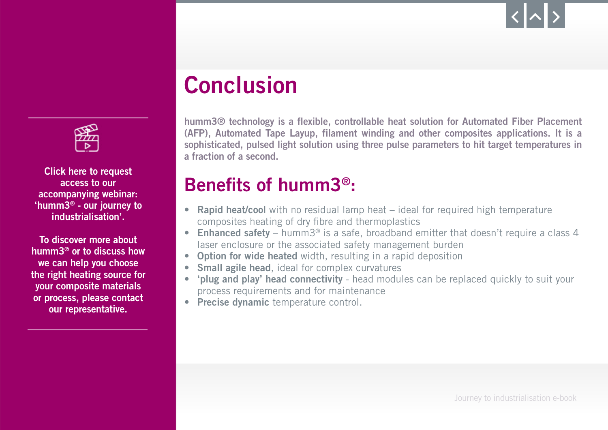



Click here to request access to our accompanying webinar: 'humm3® - our journey to [industrialisation'.](https://crm-adx.heraeus.com/form/H2C_Webleadcapture_SF_EN/?org=hng&suborg=af&sourcesyt=afen&nllng=en&_ga=2.135972849.1743616195.1603380077-218604096.1603380077?utm_medium=display&utm_source=brochure&utm_campaign=HNGhumm3_ebook&utm_content=humm3_ebook)

To discover more about humm3® or to discuss how we can help you choose the right heating source for your composite materials or process, please contact our representative.

## **Conclusion**

humm3® technology is a flexible, controllable heat solution for Automated Fiber Placement (AFP), Automated Tape Layup, filament winding and other composites applications. It is a sophisticated, pulsed light solution using three pulse parameters to hit target temperatures in a fraction of a second.

#### Benefits of humm3®:

- Rapid heat/cool with no residual lamp heat ideal for required high temperature composites heating of dry fibre and thermoplastics
- Enhanced safety humm3<sup>®</sup> is a safe, broadband emitter that doesn't require a class 4 laser enclosure or the associated safety management burden
- Option for wide heated width, resulting in a rapid deposition
- Small agile head, ideal for complex curvatures
- 'plug and play' head connectivity head modules can be replaced quickly to suit your process requirements and for maintenance
- Precise dynamic temperature control.